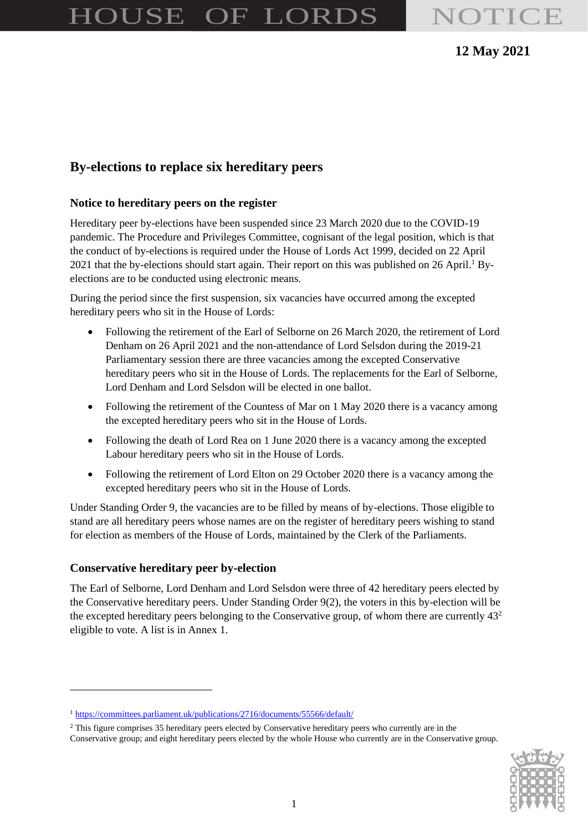# HOUSE OF LORDS NOTICE

## **12 May 2021**

# **By-elections to replace six hereditary peers**

#### **Notice to hereditary peers on the register**

Hereditary peer by-elections have been suspended since 23 March 2020 due to the COVID-19 pandemic. The Procedure and Privileges Committee, cognisant of the legal position, which is that the conduct of by-elections is required under the House of Lords Act 1999, decided on 22 April 2021 that the by-elections should start again. Their report on this was published on 26 April.<sup>1</sup> Byelections are to be conducted using electronic means.

During the period since the first suspension, six vacancies have occurred among the excepted hereditary peers who sit in the House of Lords:

- Following the retirement of the Earl of Selborne on 26 March 2020, the retirement of Lord Denham on 26 April 2021 and the non-attendance of Lord Selsdon during the 2019-21 Parliamentary session there are three vacancies among the excepted Conservative hereditary peers who sit in the House of Lords. The replacements for the Earl of Selborne, Lord Denham and Lord Selsdon will be elected in one ballot.
- Following the retirement of the Countess of Mar on 1 May 2020 there is a vacancy among the excepted hereditary peers who sit in the House of Lords.
- Following the death of Lord Rea on 1 June 2020 there is a vacancy among the excepted Labour hereditary peers who sit in the House of Lords.
- Following the retirement of Lord Elton on 29 October 2020 there is a vacancy among the excepted hereditary peers who sit in the House of Lords.

Under Standing Order 9, the vacancies are to be filled by means of by-elections. Those eligible to stand are all hereditary peers whose names are on the register of hereditary peers wishing to stand for election as members of the House of Lords, maintained by the Clerk of the Parliaments.

### **Conservative hereditary peer by-election**

The Earl of Selborne, Lord Denham and Lord Selsdon were three of 42 hereditary peers elected by the Conservative hereditary peers. Under Standing Order 9(2), the voters in this by-election will be the excepted hereditary peers belonging to the Conservative group, of whom there are currently  $43<sup>2</sup>$ eligible to vote. A list is in Annex 1.

Conservative group; and eight hereditary peers elected by the whole House who currently are in the Conservative group.



<sup>&</sup>lt;sup>1</sup> <https://committees.parliament.uk/publications/2716/documents/55566/default/>

<sup>&</sup>lt;sup>2</sup> This figure comprises 35 hereditary peers elected by Conservative hereditary peers who currently are in the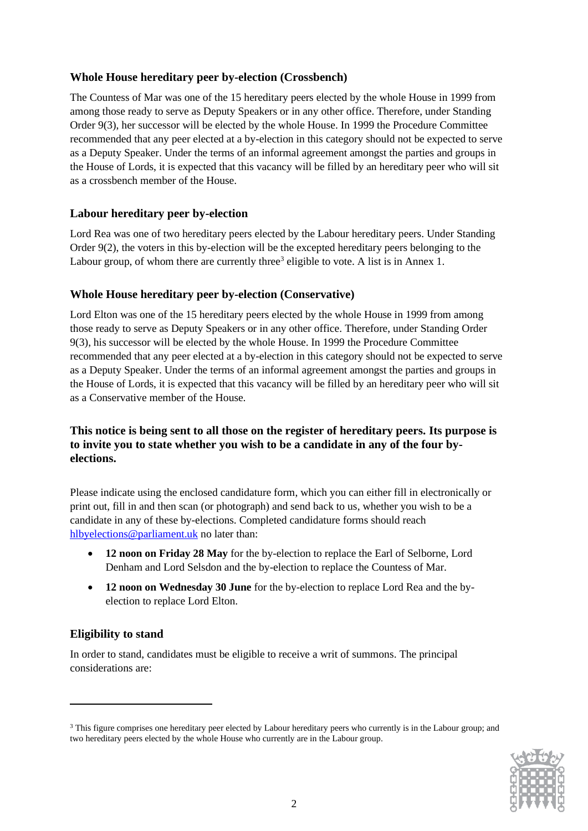#### **Whole House hereditary peer by-election (Crossbench)**

The Countess of Mar was one of the 15 hereditary peers elected by the whole House in 1999 from among those ready to serve as Deputy Speakers or in any other office. Therefore, under Standing Order 9(3), her successor will be elected by the whole House. In 1999 the Procedure Committee recommended that any peer elected at a by-election in this category should not be expected to serve as a Deputy Speaker. Under the terms of an informal agreement amongst the parties and groups in the House of Lords, it is expected that this vacancy will be filled by an hereditary peer who will sit as a crossbench member of the House.

### **Labour hereditary peer by-election**

Lord Rea was one of two hereditary peers elected by the Labour hereditary peers. Under Standing Order 9(2), the voters in this by-election will be the excepted hereditary peers belonging to the Labour group, of whom there are currently three<sup>3</sup> eligible to vote. A list is in Annex 1.

#### **Whole House hereditary peer by-election (Conservative)**

Lord Elton was one of the 15 hereditary peers elected by the whole House in 1999 from among those ready to serve as Deputy Speakers or in any other office. Therefore, under Standing Order 9(3), his successor will be elected by the whole House. In 1999 the Procedure Committee recommended that any peer elected at a by-election in this category should not be expected to serve as a Deputy Speaker. Under the terms of an informal agreement amongst the parties and groups in the House of Lords, it is expected that this vacancy will be filled by an hereditary peer who will sit as a Conservative member of the House.

### **This notice is being sent to all those on the register of hereditary peers. Its purpose is to invite you to state whether you wish to be a candidate in any of the four byelections.**

Please indicate using the enclosed candidature form, which you can either fill in electronically or print out, fill in and then scan (or photograph) and send back to us, whether you wish to be a candidate in any of these by-elections. Completed candidature forms should reach [hlbyelections@parliament.uk](mailto:hlbyelections@parliament.uk) no later than:

- **12 noon on Friday 28 May** for the by-election to replace the Earl of Selborne, Lord Denham and Lord Selsdon and the by-election to replace the Countess of Mar.
- **12 noon on Wednesday 30 June** for the by-election to replace Lord Rea and the byelection to replace Lord Elton.

### **Eligibility to stand**

In order to stand, candidates must be eligible to receive a writ of summons. The principal considerations are:

<sup>&</sup>lt;sup>3</sup> This figure comprises one hereditary peer elected by Labour hereditary peers who currently is in the Labour group; and two hereditary peers elected by the whole House who currently are in the Labour group.

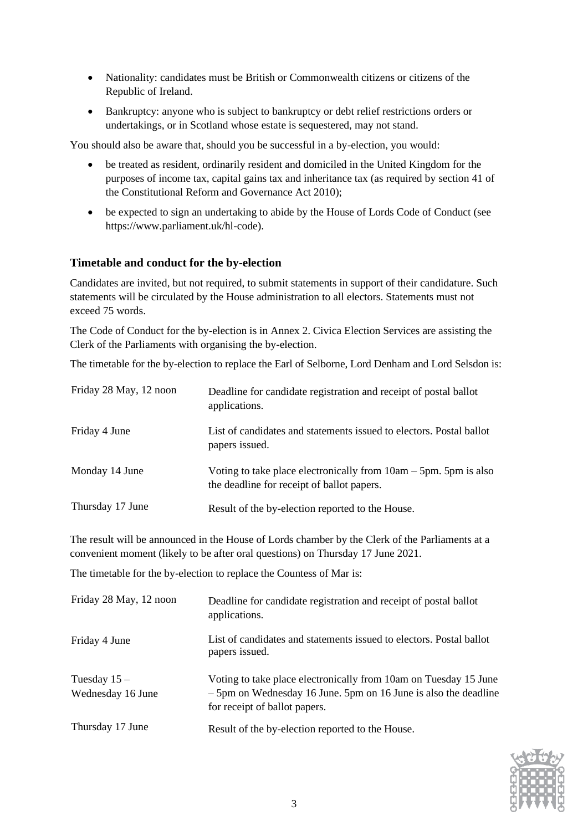- Nationality: candidates must be British or Commonwealth citizens or citizens of the Republic of Ireland.
- Bankruptcy: anyone who is subject to bankruptcy or debt relief restrictions orders or undertakings, or in Scotland whose estate is sequestered, may not stand.

You should also be aware that, should you be successful in a by-election, you would:

- be treated as resident, ordinarily resident and domiciled in the United Kingdom for the purposes of income tax, capital gains tax and inheritance tax (as required by section 41 of the Constitutional Reform and Governance Act 2010);
- be expected to sign an undertaking to abide by the House of Lords Code of Conduct (see https://www.parliament.uk/hl-code).

#### **Timetable and conduct for the by-election**

Candidates are invited, but not required, to submit statements in support of their candidature. Such statements will be circulated by the House administration to all electors. Statements must not exceed 75 words.

The Code of Conduct for the by-election is in Annex 2. Civica Election Services are assisting the Clerk of the Parliaments with organising the by-election.

The timetable for the by-election to replace the Earl of Selborne, Lord Denham and Lord Selsdon is:

| Friday 28 May, 12 noon | Deadline for candidate registration and receipt of postal ballot<br>applications.                                 |
|------------------------|-------------------------------------------------------------------------------------------------------------------|
| Friday 4 June          | List of candidates and statements issued to electors. Postal ballot<br>papers issued.                             |
| Monday 14 June         | Voting to take place electronically from $10am - 5pm$ . 5pm is also<br>the deadline for receipt of ballot papers. |
| Thursday 17 June       | Result of the by-election reported to the House.                                                                  |

The result will be announced in the House of Lords chamber by the Clerk of the Parliaments at a convenient moment (likely to be after oral questions) on Thursday 17 June 2021.

The timetable for the by-election to replace the Countess of Mar is:

| Friday 28 May, 12 noon             | Deadline for candidate registration and receipt of postal ballot<br>applications.                                                                                    |
|------------------------------------|----------------------------------------------------------------------------------------------------------------------------------------------------------------------|
| Friday 4 June                      | List of candidates and statements issued to electors. Postal ballot<br>papers issued.                                                                                |
| Tuesday $15-$<br>Wednesday 16 June | Voting to take place electronically from 10am on Tuesday 15 June<br>- 5pm on Wednesday 16 June. 5pm on 16 June is also the deadline<br>for receipt of ballot papers. |
| Thursday 17 June                   | Result of the by-election reported to the House.                                                                                                                     |

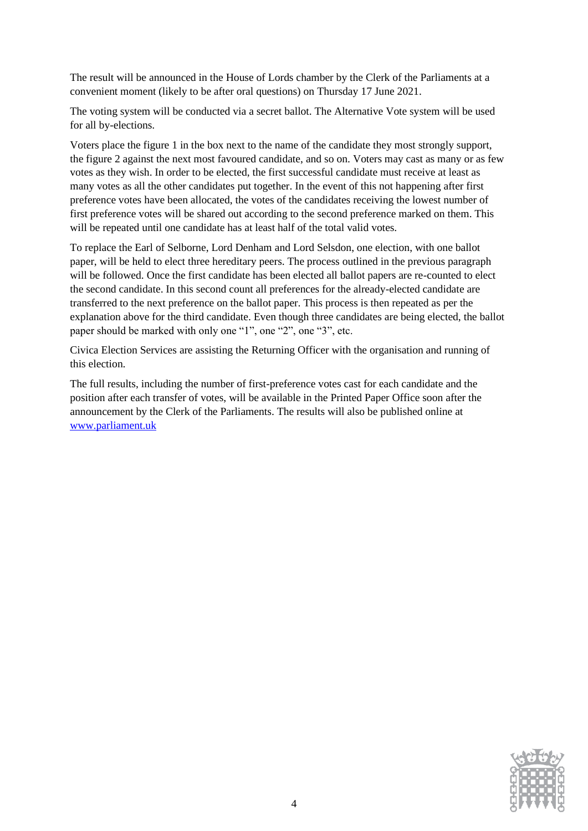The result will be announced in the House of Lords chamber by the Clerk of the Parliaments at a convenient moment (likely to be after oral questions) on Thursday 17 June 2021.

The voting system will be conducted via a secret ballot. The Alternative Vote system will be used for all by-elections.

Voters place the figure 1 in the box next to the name of the candidate they most strongly support, the figure 2 against the next most favoured candidate, and so on. Voters may cast as many or as few votes as they wish. In order to be elected, the first successful candidate must receive at least as many votes as all the other candidates put together. In the event of this not happening after first preference votes have been allocated, the votes of the candidates receiving the lowest number of first preference votes will be shared out according to the second preference marked on them. This will be repeated until one candidate has at least half of the total valid votes.

To replace the Earl of Selborne, Lord Denham and Lord Selsdon, one election, with one ballot paper, will be held to elect three hereditary peers. The process outlined in the previous paragraph will be followed. Once the first candidate has been elected all ballot papers are re-counted to elect the second candidate. In this second count all preferences for the already-elected candidate are transferred to the next preference on the ballot paper. This process is then repeated as per the explanation above for the third candidate. Even though three candidates are being elected, the ballot paper should be marked with only one "1", one "2", one "3", etc.

Civica Election Services are assisting the Returning Officer with the organisation and running of this election.

The full results, including the number of first-preference votes cast for each candidate and the position after each transfer of votes, will be available in the Printed Paper Office soon after the announcement by the Clerk of the Parliaments. The results will also be published online at [www.parliament.uk](http://www.parliament.uk/)

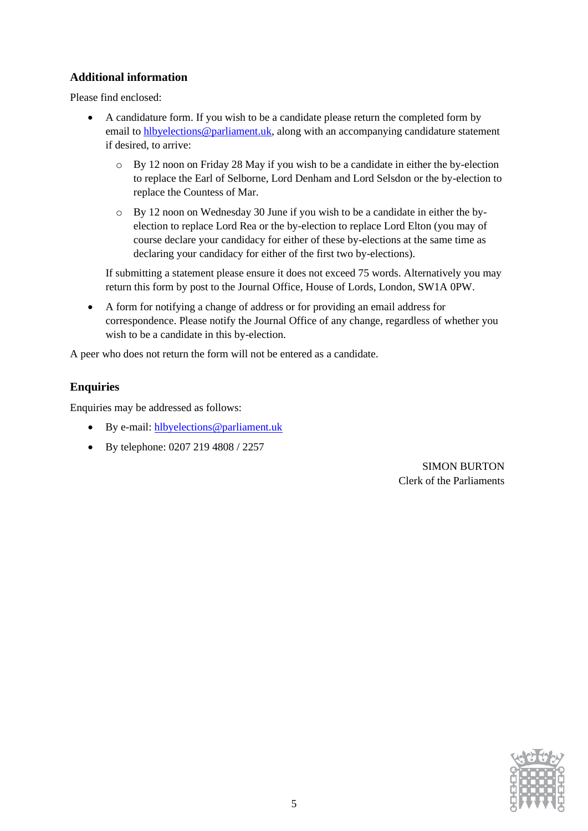#### **Additional information**

Please find enclosed:

- A candidature form. If you wish to be a candidate please return the completed form by email to [hlbyelections@parliament.uk,](mailto:hlbyelections@parliament.uk) along with an accompanying candidature statement if desired, to arrive:
	- o By 12 noon on Friday 28 May if you wish to be a candidate in either the by-election to replace the Earl of Selborne, Lord Denham and Lord Selsdon or the by-election to replace the Countess of Mar.
	- $\circ$  By 12 noon on Wednesday 30 June if you wish to be a candidate in either the byelection to replace Lord Rea or the by-election to replace Lord Elton (you may of course declare your candidacy for either of these by-elections at the same time as declaring your candidacy for either of the first two by-elections).

If submitting a statement please ensure it does not exceed 75 words. Alternatively you may return this form by post to the Journal Office, House of Lords, London, SW1A 0PW.

• A form for notifying a change of address or for providing an email address for correspondence. Please notify the Journal Office of any change, regardless of whether you wish to be a candidate in this by-election.

A peer who does not return the form will not be entered as a candidate.

### **Enquiries**

Enquiries may be addressed as follows:

- By e-mail: [hlbyelections@parliament.uk](mailto:hlbyelections@parliament.uk)
- By telephone: 0207 219 4808 / 2257

SIMON BURTON Clerk of the Parliaments

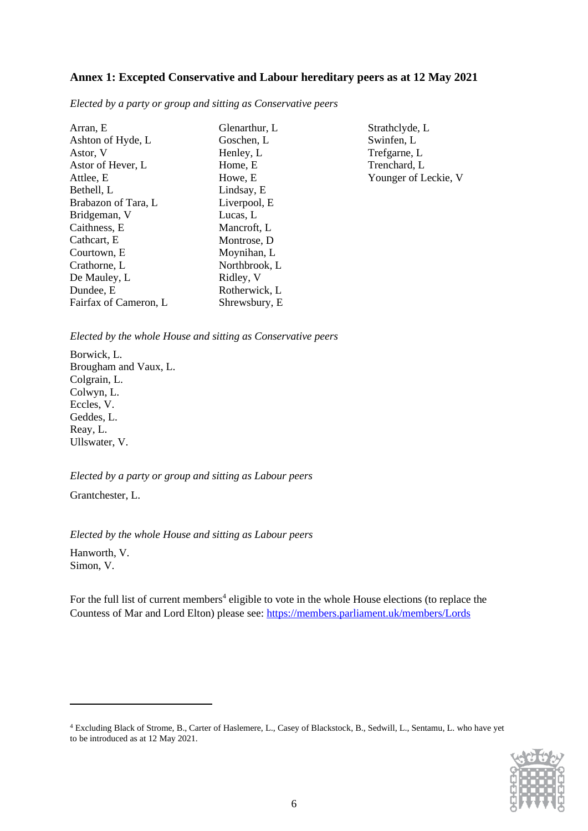#### **Annex 1: Excepted Conservative and Labour hereditary peers as at 12 May 2021**

*Elected by a party or group and sitting as Conservative peers*

| Arran, E              | Glenarthur, L | Strathclyde, L       |
|-----------------------|---------------|----------------------|
| Ashton of Hyde, L     | Goschen, L    | Swinfen, L           |
| Astor, V              | Henley, L     | Trefgarne, L         |
| Astor of Hever, L     | Home, E       | Trenchard, L         |
| Attlee, E             | Howe, E       | Younger of Leckie, V |
| Bethell, L            | Lindsay, E    |                      |
| Brabazon of Tara, L   | Liverpool, E  |                      |
| Bridgeman, V          | Lucas, L      |                      |
| Caithness, E          | Mancroft, L   |                      |
| Cathcart, E           | Montrose, D   |                      |
| Courtown, E           | Moynihan, L   |                      |
| Crathorne, L          | Northbrook, L |                      |
| De Mauley, L          | Ridley, V     |                      |
| Dundee, E             | Rotherwick, L |                      |
| Fairfax of Cameron, L | Shrewsbury, E |                      |

*Elected by the whole House and sitting as Conservative peers*

Borwick, L. Brougham and Vaux, L. Colgrain, L. Colwyn, L. Eccles, V. Geddes, L. Reay, L. Ullswater, V.

*Elected by a party or group and sitting as Labour peers*

Grantchester, L.

*Elected by the whole House and sitting as Labour peers* Hanworth, V. Simon, V.

For the full list of current members<sup>4</sup> eligible to vote in the whole House elections (to replace the Countess of Mar and Lord Elton) please see:<https://members.parliament.uk/members/Lords>

<sup>4</sup> Excluding Black of Strome, B., Carter of Haslemere, L., Casey of Blackstock, B., Sedwill, L., Sentamu, L. who have yet to be introduced as at 12 May 2021.